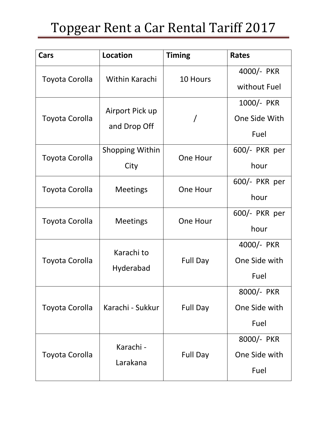## Topgear Rent a Car Rental Tariff 2017

| Cars                  | <b>Location</b>                 | <b>Timing</b>   | <b>Rates</b>    |
|-----------------------|---------------------------------|-----------------|-----------------|
| Toyota Corolla        | Within Karachi                  | 10 Hours        | 4000/- PKR      |
|                       |                                 |                 | without Fuel    |
| Toyota Corolla        | Airport Pick up<br>and Drop Off |                 | 1000/- PKR      |
|                       |                                 |                 | One Side With   |
|                       |                                 |                 | Fuel            |
| Toyota Corolla        | <b>Shopping Within</b><br>City  | One Hour        | $600/-$ PKR per |
|                       |                                 |                 | hour            |
| Toyota Corolla        | <b>Meetings</b>                 | One Hour        | $600/-$ PKR per |
|                       |                                 |                 | hour            |
| Toyota Corolla        | <b>Meetings</b>                 | One Hour        | 600/- PKR per   |
|                       |                                 |                 | hour            |
| Toyota Corolla        | Karachi to<br>Hyderabad         | <b>Full Day</b> | 4000/- PKR      |
|                       |                                 |                 | One Side with   |
|                       |                                 |                 | Fuel            |
| <b>Toyota Corolla</b> | Karachi - Sukkur                | <b>Full Day</b> | 8000/- PKR      |
|                       |                                 |                 | One Side with   |
|                       |                                 |                 | Fuel            |
| Toyota Corolla        | Karachi -<br>Larakana           | <b>Full Day</b> | 8000/- PKR      |
|                       |                                 |                 | One Side with   |
|                       |                                 |                 | Fuel            |